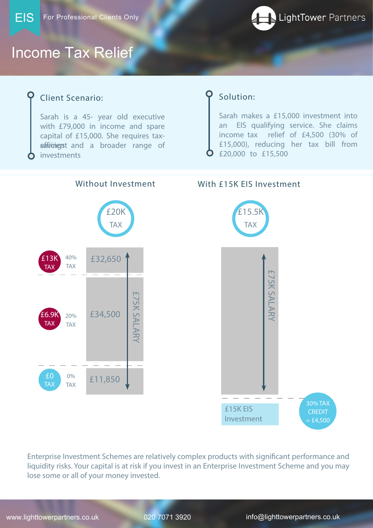

# Income Tax Relief

## Client Scenario:

Sarah is a 45- year old executive with £79,000 in income and spare capital of £15,000. She requires taxsafivingst and a broader range of investments

Enterprise Investment Schemes are relatively complex products with significant performance and liquidity risks. Your capital is at risk if you invest in an Enterprise Investment Scheme and you may lose some or all of your money invested.

www.lighttowerpartners.co.uk 020 7071 3920 info@lighttowerpartners.co.uk



#### Without Investment With £15K EIS Investment







# Solution:

Sarah makes a £15,000 investment into an EIS qualifying service. She claims income tax relief of £4,500 (30% of £15,000), reducing her tax bill from £20,000 to £15,500